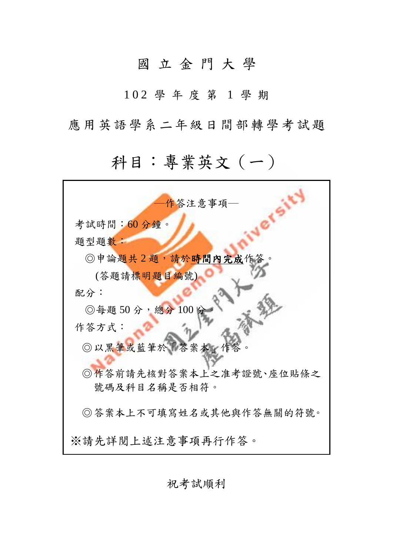## 國 立 金 門 大 學

1 0 2 學 年 度 第 1 學 期

應用英語學系二年級日間部轉學考試題

## 科目:專業英文(一)

| 作答注意事項—                 |
|-------------------------|
| 考試時間:60分鐘。              |
| 題型題數:                   |
| ◎申論題共2題,請於時間內完成作答。      |
| (答題請標明題目編號)             |
| 配分:                     |
| ◎每題50分,總分100分           |
| 作答方式:                   |
| ◎以黑筆或藍筆於「答案本」作答         |
| ◎作答前請先核對答案本上之准考證號、座位貼條之 |
| 號碼及科目名稱是否相符。            |
| ◎答案本上不可填寫姓名或其他與作答無關的符號。 |
| ※請先詳閱上述注意事項再行作答。        |

祝考試順利